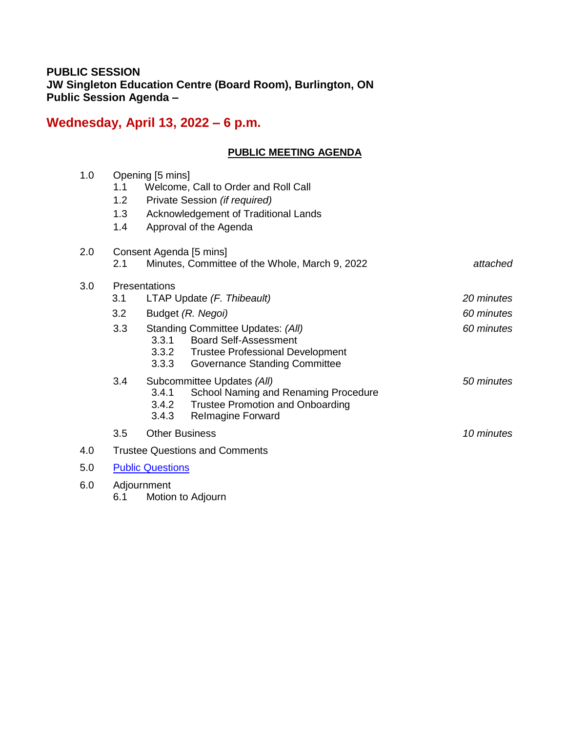## **PUBLIC SESSION JW Singleton Education Centre (Board Room), Burlington, ON Public Session Agenda –**

# **Wednesday, April 13, 2022 – 6 p.m.**

## **PUBLIC MEETING AGENDA**

| 1.0 | 1.1<br>1.2<br>1.3<br>1.4              | Opening [5 mins]<br>Welcome, Call to Order and Roll Call<br>Private Session (if required)<br>Acknowledgement of Traditional Lands<br>Approval of the Agenda           |            |  |
|-----|---------------------------------------|-----------------------------------------------------------------------------------------------------------------------------------------------------------------------|------------|--|
| 2.0 | Consent Agenda [5 mins]               |                                                                                                                                                                       |            |  |
|     | 2.1                                   | Minutes, Committee of the Whole, March 9, 2022                                                                                                                        | attached   |  |
| 3.0 | Presentations                         |                                                                                                                                                                       |            |  |
|     | 3.1                                   | LTAP Update (F. Thibeault)                                                                                                                                            | 20 minutes |  |
|     | 3.2                                   | Budget (R. Negoi)                                                                                                                                                     | 60 minutes |  |
|     | 3.3                                   | Standing Committee Updates: (All)<br>3.3.1<br><b>Board Self-Assessment</b><br>3.3.2 Trustee Professional Development<br>3.3.3<br><b>Governance Standing Committee</b> | 60 minutes |  |
|     | 3.4                                   | Subcommittee Updates (All)<br>3.4.1<br>School Naming and Renaming Procedure<br><b>Trustee Promotion and Onboarding</b><br>3.4.2<br>3.4.3<br><b>Relmagine Forward</b>  | 50 minutes |  |
|     | 3.5                                   | <b>Other Business</b>                                                                                                                                                 | 10 minutes |  |
| 4.0 | <b>Trustee Questions and Comments</b> |                                                                                                                                                                       |            |  |
| 5.0 | <b>Public Questions</b>               |                                                                                                                                                                       |            |  |
| 6.0 | Adjournment                           |                                                                                                                                                                       |            |  |

6.1 Motion to Adjourn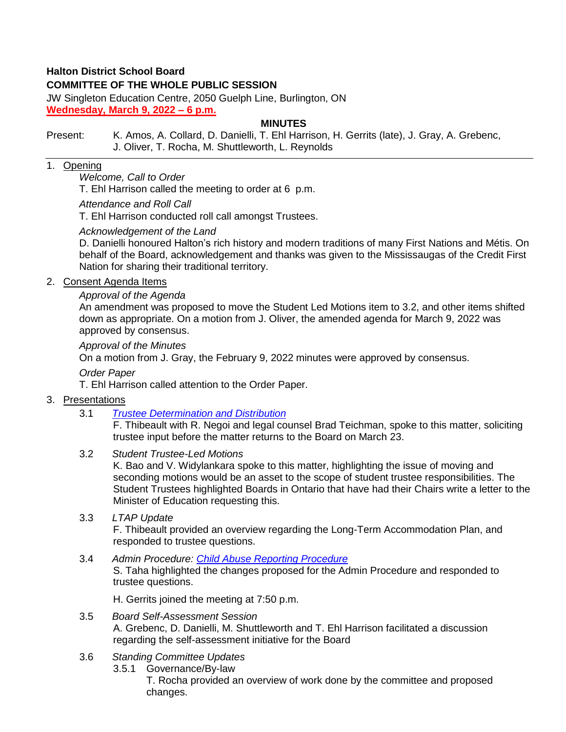## **Halton District School Board**

## **COMMITTEE OF THE WHOLE PUBLIC SESSION**

JW Singleton Education Centre, 2050 Guelph Line, Burlington, ON **Wednesday, March 9, 2022 – 6 p.m.**

#### **MINUTES**

#### Present: K. Amos, A. Collard, D. Danielli, T. Ehl Harrison, H. Gerrits (late), J. Gray, A. Grebenc, J. Oliver, T. Rocha, M. Shuttleworth, L. Reynolds

## 1. Opening

#### *Welcome, Call to Order*

T. Ehl Harrison called the meeting to order at 6 p.m.

#### *Attendance and Roll Call*

T. Ehl Harrison conducted roll call amongst Trustees.

#### *Acknowledgement of the Land*

D. Danielli honoured Halton's rich history and modern traditions of many First Nations and Métis. On behalf of the Board, acknowledgement and thanks was given to the Mississaugas of the Credit First Nation for sharing their traditional territory.

#### 2. Consent Agenda Items

#### *Approval of the Agenda*

An amendment was proposed to move the Student Led Motions item to 3.2, and other items shifted down as appropriate. On a motion from J. Oliver, the amended agenda for March 9, 2022 was approved by consensus.

#### *Approval of the Minutes*

On a motion from J. Gray, the February 9, 2022 minutes were approved by consensus.

#### *Order Paper*

T. Ehl Harrison called attention to the Order Paper.

#### 3. Presentations

3.1 *[Trustee Determination and Distribution](https://drive.google.com/file/d/1CEb8sirpC9xTuGmk7GDMUWOz1D9STqEq/view?usp=sharing)*

F. Thibeault with R. Negoi and legal counsel Brad Teichman, spoke to this matter, soliciting trustee input before the matter returns to the Board on March 23.

3.2 *Student Trustee-Led Motions*

K. Bao and V. Widylankara spoke to this matter, highlighting the issue of moving and seconding motions would be an asset to the scope of student trustee responsibilities. The Student Trustees highlighted Boards in Ontario that have had their Chairs write a letter to the Minister of Education requesting this.

3.3 *LTAP Update*

F. Thibeault provided an overview regarding the Long-Term Accommodation Plan, and responded to trustee questions.

3.4 *Admin Procedure: [Child Abuse Reporting Procedure](https://drive.google.com/file/d/1oBp6bKIdOP1RFoE7ZijC0l6hBHwl6RbO/view?usp=sharing)* S. Taha highlighted the changes proposed for the Admin Procedure and responded to trustee questions.

H. Gerrits joined the meeting at 7:50 p.m.

- 3.5 *Board Self-Assessment Session* A. Grebenc, D. Danielli, M. Shuttleworth and T. Ehl Harrison facilitated a discussion regarding the self-assessment initiative for the Board
- 3.6 *Standing Committee Updates* 3.5.1 Governance/By-law T. Rocha provided an overview of work done by the committee and proposed changes.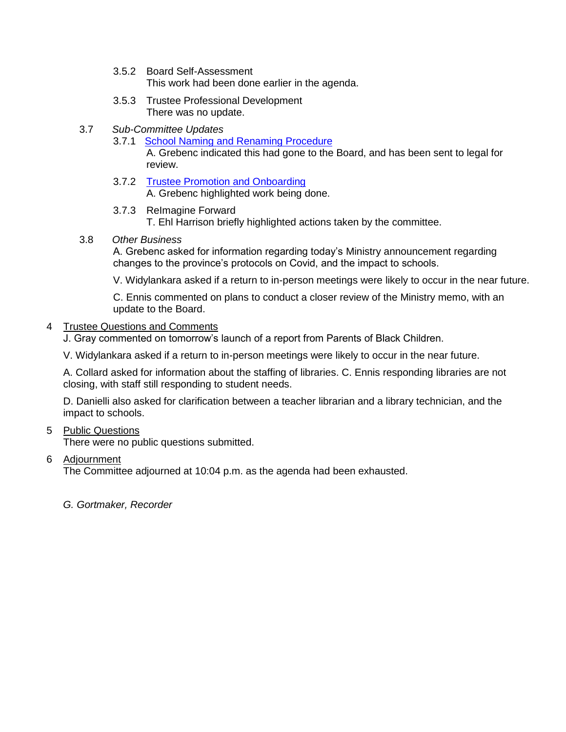- 3.5.2 Board Self-Assessment This work had been done earlier in the agenda.
- 3.5.3 Trustee Professional Development There was no update.
- 3.7 *Sub-Committee Updates*
	- 3.7.1 [School Naming and Renaming Procedure](https://drive.google.com/file/d/1BjjrpWBdUKDHj478SJ-KRvbolEfmcvL3/view?usp=sharing) A. Grebenc indicated this had gone to the Board, and has been sent to legal for review.
	- 3.7.2 [Trustee Promotion and Onboarding](https://drive.google.com/file/d/1Mutbw3FFIz_BjmVTLfzxfxVEmP9I1eNL/view?usp=sharing) A. Grebenc highlighted work being done.
	- 3.7.3 ReImagine Forward T. Ehl Harrison briefly highlighted actions taken by the committee.
- 3.8 *Other Business*

A. Grebenc asked for information regarding today's Ministry announcement regarding changes to the province's protocols on Covid, and the impact to schools.

V. Widylankara asked if a return to in-person meetings were likely to occur in the near future.

C. Ennis commented on plans to conduct a closer review of the Ministry memo, with an update to the Board.

#### 4 Trustee Questions and Comments

J. Gray commented on tomorrow's launch of a report from Parents of Black Children.

V. Widylankara asked if a return to in-person meetings were likely to occur in the near future.

A. Collard asked for information about the staffing of libraries. C. Ennis responding libraries are not closing, with staff still responding to student needs.

D. Danielli also asked for clarification between a teacher librarian and a library technician, and the impact to schools.

5 Public Questions

There were no public questions submitted.

6 Adjournment

The Committee adjourned at 10:04 p.m. as the agenda had been exhausted.

*G. Gortmaker, Recorder*